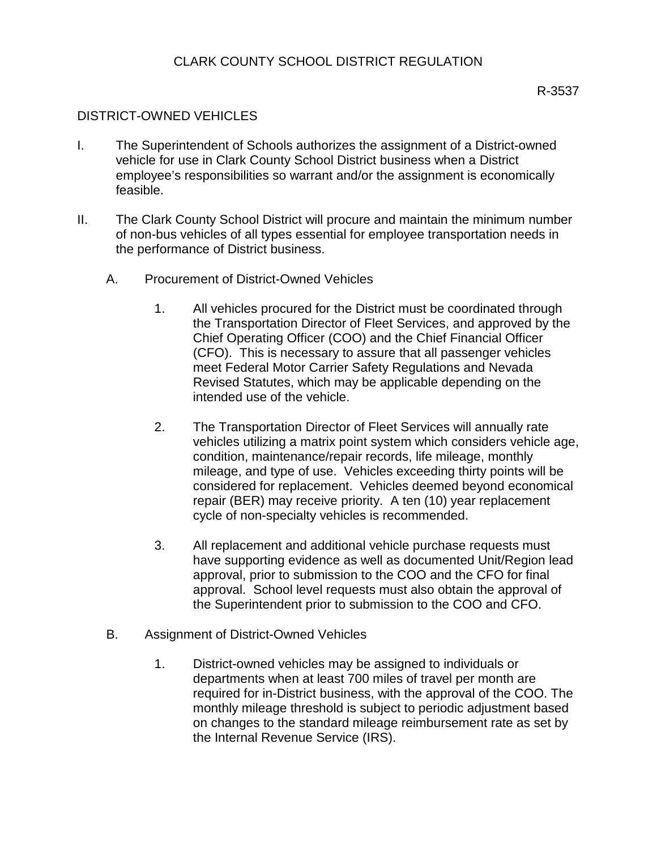## DISTRICT-OWNED VEHICLES

- I. The Superintendent of Schools authorizes the assignment of a District-owned vehicle for use in Clark County School District business when a District employee's responsibilities so warrant and/or the assignment is economically feasible.
- II. The Clark County School District will procure and maintain the minimum number of non-bus vehicles of all types essential for employee transportation needs in the performance of District business.
	- A. Procurement of District-Owned Vehicles
		- 1. All vehicles procured for the District must be coordinated through the Transportation Director of Fleet Services, and approved by the Chief Operating Officer (COO) and the Chief Financial Officer (CFO). This is necessary to assure that all passenger vehicles meet Federal Motor Carrier Safety Regulations and Nevada Revised Statutes, which may be applicable depending on the intended use of the vehicle.
		- 2. The Transportation Director of Fleet Services will annually rate vehicles utilizing a matrix point system which considers vehicle age, condition, maintenance/repair records, life mileage, monthly mileage, and type of use. Vehicles exceeding thirty points will be considered for replacement. Vehicles deemed beyond economical repair (BER) may receive priority. A ten (10) year replacement cycle of non-specialty vehicles is recommended.
		- 3. All replacement and additional vehicle purchase requests must have supporting evidence as well as documented Unit/Region lead approval, prior to submission to the COO and the CFO for final approval. School level requests must also obtain the approval of the Superintendent prior to submission to the COO and CFO.
	- B. Assignment of District-Owned Vehicles
		- 1. District-owned vehicles may be assigned to individuals or departments when at least 700 miles of travel per month are required for in-District business, with the approval of the COO. The monthly mileage threshold is subject to periodic adjustment based on changes to the standard mileage reimbursement rate as set by the Internal Revenue Service (IRS).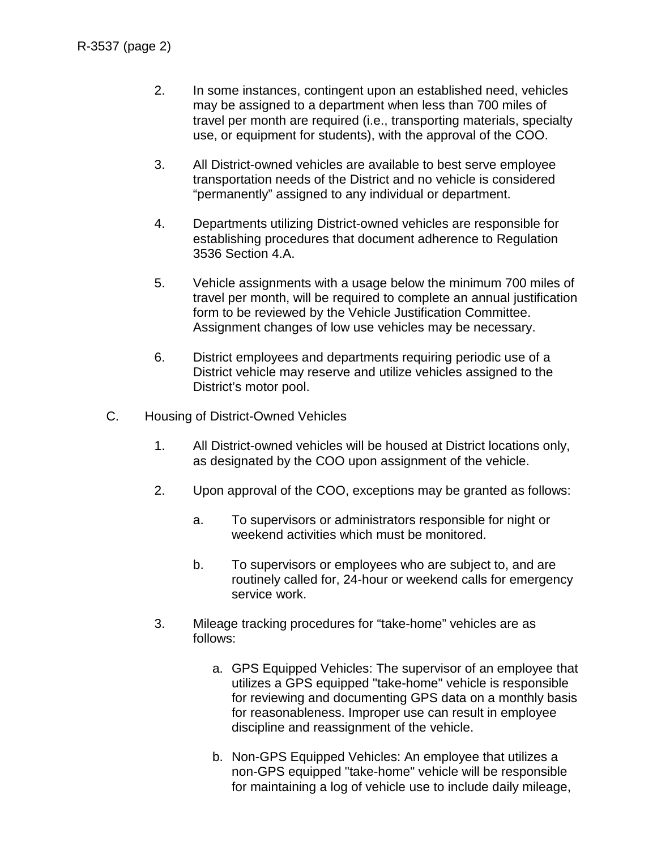- 2. In some instances, contingent upon an established need, vehicles may be assigned to a department when less than 700 miles of travel per month are required (i.e., transporting materials, specialty use, or equipment for students), with the approval of the COO.
- 3. All District-owned vehicles are available to best serve employee transportation needs of the District and no vehicle is considered "permanently" assigned to any individual or department.
- 4. Departments utilizing District-owned vehicles are responsible for establishing procedures that document adherence to Regulation 3536 Section 4.A.
- 5. Vehicle assignments with a usage below the minimum 700 miles of travel per month, will be required to complete an annual justification form to be reviewed by the Vehicle Justification Committee. Assignment changes of low use vehicles may be necessary.
- 6. District employees and departments requiring periodic use of a District vehicle may reserve and utilize vehicles assigned to the District's motor pool.
- C. Housing of District-Owned Vehicles
	- 1. All District-owned vehicles will be housed at District locations only, as designated by the COO upon assignment of the vehicle.
	- 2. Upon approval of the COO, exceptions may be granted as follows:
		- a. To supervisors or administrators responsible for night or weekend activities which must be monitored.
		- b. To supervisors or employees who are subject to, and are routinely called for, 24-hour or weekend calls for emergency service work.
	- 3. Mileage tracking procedures for "take-home" vehicles are as follows:
		- a. GPS Equipped Vehicles: The supervisor of an employee that utilizes a GPS equipped "take-home" vehicle is responsible for reviewing and documenting GPS data on a monthly basis for reasonableness. Improper use can result in employee discipline and reassignment of the vehicle.
		- b. Non-GPS Equipped Vehicles: An employee that utilizes a non-GPS equipped "take-home" vehicle will be responsible for maintaining a log of vehicle use to include daily mileage,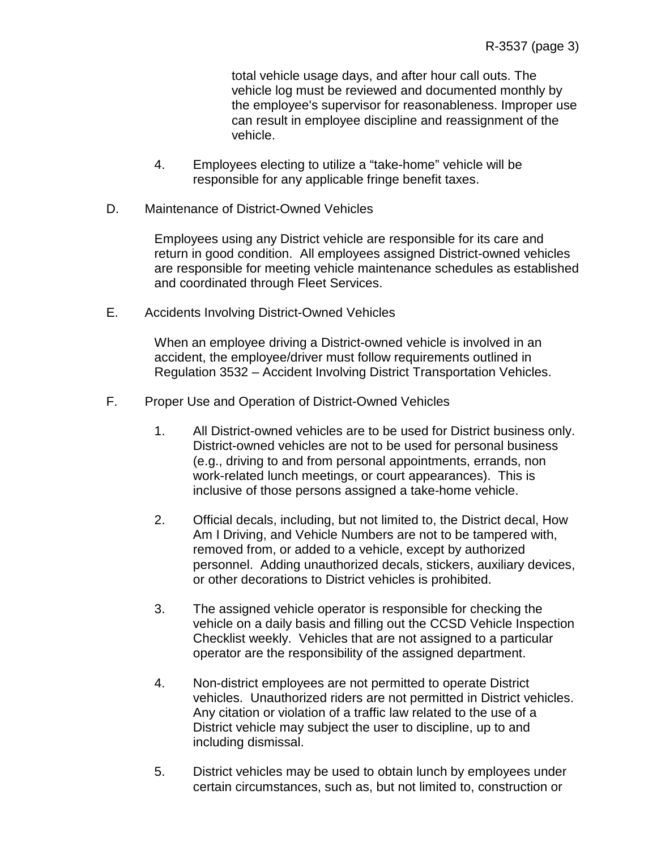total vehicle usage days, and after hour call outs. The vehicle log must be reviewed and documented monthly by the employee's supervisor for reasonableness. Improper use can result in employee discipline and reassignment of the vehicle.

- 4. Employees electing to utilize a "take-home" vehicle will be responsible for any applicable fringe benefit taxes.
- D. Maintenance of District-Owned Vehicles

Employees using any District vehicle are responsible for its care and return in good condition. All employees assigned District-owned vehicles are responsible for meeting vehicle maintenance schedules as established and coordinated through Fleet Services.

E. Accidents Involving District-Owned Vehicles

When an employee driving a District-owned vehicle is involved in an accident, the employee/driver must follow requirements outlined in Regulation 3532 – Accident Involving District Transportation Vehicles.

- F. Proper Use and Operation of District-Owned Vehicles
	- 1. All District-owned vehicles are to be used for District business only. District-owned vehicles are not to be used for personal business (e.g., driving to and from personal appointments, errands, non work-related lunch meetings, or court appearances). This is inclusive of those persons assigned a take-home vehicle.
	- 2. Official decals, including, but not limited to, the District decal, How Am I Driving, and Vehicle Numbers are not to be tampered with, removed from, or added to a vehicle, except by authorized personnel. Adding unauthorized decals, stickers, auxiliary devices, or other decorations to District vehicles is prohibited.
	- 3. The assigned vehicle operator is responsible for checking the vehicle on a daily basis and filling out the CCSD Vehicle Inspection Checklist weekly. Vehicles that are not assigned to a particular operator are the responsibility of the assigned department.
	- 4. Non-district employees are not permitted to operate District vehicles. Unauthorized riders are not permitted in District vehicles. Any citation or violation of a traffic law related to the use of a District vehicle may subject the user to discipline, up to and including dismissal.
	- 5. District vehicles may be used to obtain lunch by employees under certain circumstances, such as, but not limited to, construction or